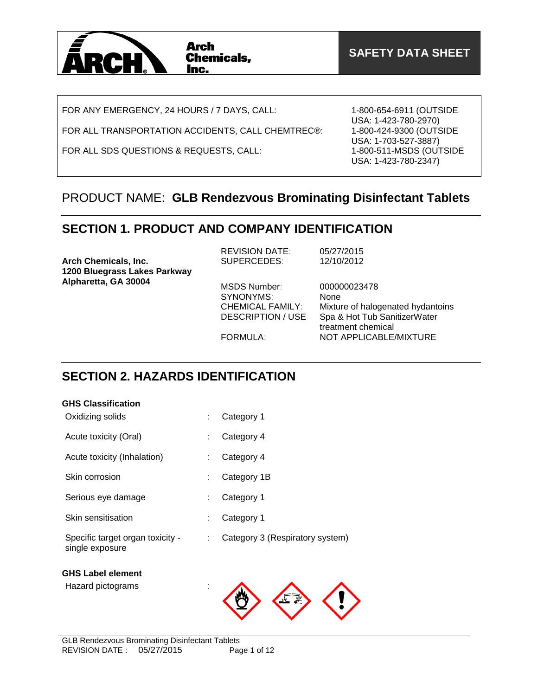

FOR ANY EMERGENCY, 24 HOURS / 7 DAYS, CALL:

FOR ALL TRANSPORTATION ACCIDENTS, CALL CHEMTREC®:

FOR ALL SDS QUESTIONS & REQUESTS, CALL:

1-800-654-6911 (OUTSIDE USA: 1-423-780-2970) 1-800-424-9300 (OUTSIDE USA: 1-703-527-3887) 1-800-511-MSDS (OUTSIDE USA: 1-423-780-2347)

### PRODUCT NAME: **GLB Rendezvous Brominating Disinfectant Tablets**

### **SECTION 1. PRODUCT AND COMPANY IDENTIFICATION**

| <b>Arch Chemicals, Inc.</b><br>1200 Bluegrass Lakes Parkway | <b>REVISION DATE:</b><br>SUPERCEDES:                                             | 05/27/2015<br>12/10/2012                                                                                        |
|-------------------------------------------------------------|----------------------------------------------------------------------------------|-----------------------------------------------------------------------------------------------------------------|
| Alpharetta, GA 30004                                        | MSDS Number:<br>SYNONYMS:<br><b>CHEMICAL FAMILY:</b><br><b>DESCRIPTION / USE</b> | 000000023478<br>None<br>Mixture of halogenated hydantoins<br>Spa & Hot Tub SanitizerWater<br>treatment chemical |
|                                                             | <b>FORMULA:</b>                                                                  | NOT APPLICABLE/MIXTURE                                                                                          |

### **SECTION 2. HAZARDS IDENTIFICATION**

### **GHS Classification**

| Acute toxicity (Oral)                               | t. | Category 4                      |
|-----------------------------------------------------|----|---------------------------------|
| Acute toxicity (Inhalation)                         | ÷  | Category 4                      |
| Skin corrosion                                      | ÷  | Category 1B                     |
| Serious eye damage                                  | ÷  | Category 1                      |
| Skin sensitisation                                  | ÷  | Category 1                      |
| Specific target organ toxicity -<br>single exposure | ÷. | Category 3 (Respiratory system) |
| <b>GHS Label element</b>                            |    |                                 |
| Hazard pictograms                                   | ÷  |                                 |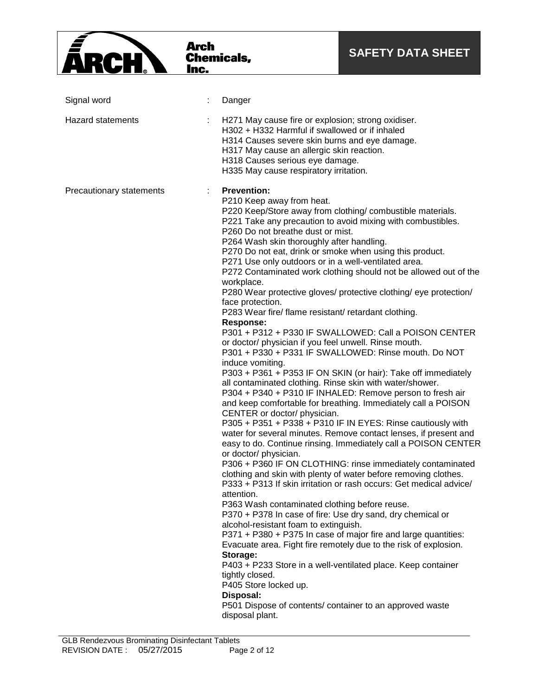

| Signal word              |   | Danger                                                                                                                                                                                                                                                                                                                                                                                                                                                                                                                                                                                                                                                                                                                                                                                                                                                                                                                                                                                                                                                                                                                                                                                                                                                                                                                                                                                                                                                                                                                                                                                                                                                                                                                                                                                                                                                                                                                                                                                                                                                                                                  |
|--------------------------|---|---------------------------------------------------------------------------------------------------------------------------------------------------------------------------------------------------------------------------------------------------------------------------------------------------------------------------------------------------------------------------------------------------------------------------------------------------------------------------------------------------------------------------------------------------------------------------------------------------------------------------------------------------------------------------------------------------------------------------------------------------------------------------------------------------------------------------------------------------------------------------------------------------------------------------------------------------------------------------------------------------------------------------------------------------------------------------------------------------------------------------------------------------------------------------------------------------------------------------------------------------------------------------------------------------------------------------------------------------------------------------------------------------------------------------------------------------------------------------------------------------------------------------------------------------------------------------------------------------------------------------------------------------------------------------------------------------------------------------------------------------------------------------------------------------------------------------------------------------------------------------------------------------------------------------------------------------------------------------------------------------------------------------------------------------------------------------------------------------------|
| Hazard statements        |   | H271 May cause fire or explosion; strong oxidiser.<br>H302 + H332 Harmful if swallowed or if inhaled<br>H314 Causes severe skin burns and eye damage.<br>H317 May cause an allergic skin reaction.<br>H318 Causes serious eye damage.<br>H335 May cause respiratory irritation.                                                                                                                                                                                                                                                                                                                                                                                                                                                                                                                                                                                                                                                                                                                                                                                                                                                                                                                                                                                                                                                                                                                                                                                                                                                                                                                                                                                                                                                                                                                                                                                                                                                                                                                                                                                                                         |
| Precautionary statements | ÷ | <b>Prevention:</b><br>P210 Keep away from heat.<br>P220 Keep/Store away from clothing/ combustible materials.<br>P221 Take any precaution to avoid mixing with combustibles.<br>P260 Do not breathe dust or mist.<br>P264 Wash skin thoroughly after handling.<br>P270 Do not eat, drink or smoke when using this product.<br>P271 Use only outdoors or in a well-ventilated area.<br>P272 Contaminated work clothing should not be allowed out of the<br>workplace.<br>P280 Wear protective gloves/ protective clothing/ eye protection/<br>face protection.<br>P283 Wear fire/ flame resistant/ retardant clothing.<br><b>Response:</b><br>P301 + P312 + P330 IF SWALLOWED: Call a POISON CENTER<br>or doctor/ physician if you feel unwell. Rinse mouth.<br>P301 + P330 + P331 IF SWALLOWED: Rinse mouth. Do NOT<br>induce vomiting.<br>P303 + P361 + P353 IF ON SKIN (or hair): Take off immediately<br>all contaminated clothing. Rinse skin with water/shower.<br>P304 + P340 + P310 IF INHALED: Remove person to fresh air<br>and keep comfortable for breathing. Immediately call a POISON<br>CENTER or doctor/ physician.<br>P305 + P351 + P338 + P310 IF IN EYES: Rinse cautiously with<br>water for several minutes. Remove contact lenses, if present and<br>easy to do. Continue rinsing. Immediately call a POISON CENTER<br>or doctor/ physician.<br>P306 + P360 IF ON CLOTHING: rinse immediately contaminated<br>clothing and skin with plenty of water before removing clothes.<br>P333 + P313 If skin irritation or rash occurs: Get medical advice/<br>attention.<br>P363 Wash contaminated clothing before reuse.<br>P370 + P378 In case of fire: Use dry sand, dry chemical or<br>alcohol-resistant foam to extinguish.<br>P371 + P380 + P375 In case of major fire and large quantities:<br>Evacuate area. Fight fire remotely due to the risk of explosion.<br>Storage:<br>P403 + P233 Store in a well-ventilated place. Keep container<br>tightly closed.<br>P405 Store locked up.<br>Disposal:<br>P501 Dispose of contents/ container to an approved waste<br>disposal plant. |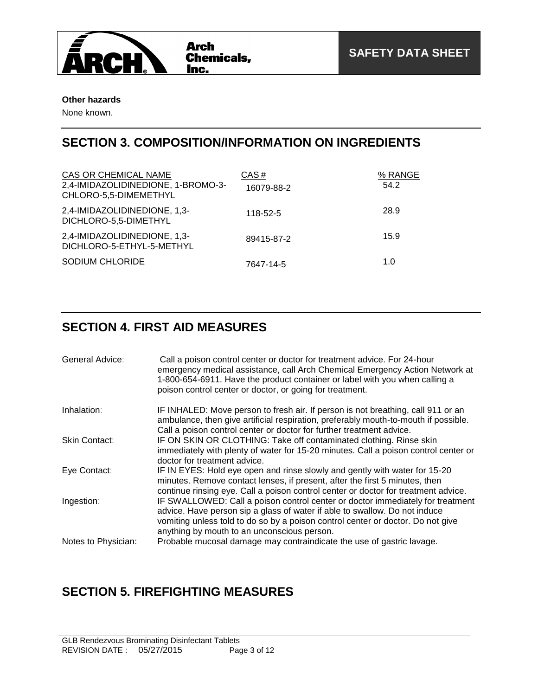

#### **Other hazards**

None known.

### **SECTION 3. COMPOSITION/INFORMATION ON INGREDIENTS**

| CAS OR CHEMICAL NAME<br>2,4-IMIDAZOLIDINEDIONE, 1-BROMO-3-<br>CHLORO-5,5-DIMEMETHYL | CAS#<br>16079-88-2 | % RANGE<br>54.2 |
|-------------------------------------------------------------------------------------|--------------------|-----------------|
| 2,4-IMIDAZOLIDINEDIONE, 1,3-<br>DICHLORO-5,5-DIMETHYL                               | 118-52-5           | 28.9            |
| 2,4-IMIDAZOLIDINEDIONE, 1,3-<br>DICHLORO-5-ETHYL-5-METHYL                           | 89415-87-2         | 15.9            |
| SODIUM CHLORIDE                                                                     | 7647-14-5          | 1.0             |

## **SECTION 4. FIRST AID MEASURES**

| General Advice:     | Call a poison control center or doctor for treatment advice. For 24-hour<br>emergency medical assistance, call Arch Chemical Emergency Action Network at<br>1-800-654-6911. Have the product container or label with you when calling a<br>poison control center or doctor, or going for treatment. |
|---------------------|-----------------------------------------------------------------------------------------------------------------------------------------------------------------------------------------------------------------------------------------------------------------------------------------------------|
| Inhalation:         | IF INHALED: Move person to fresh air. If person is not breathing, call 911 or an<br>ambulance, then give artificial respiration, preferably mouth-to-mouth if possible.<br>Call a poison control center or doctor for further treatment advice.                                                     |
| Skin Contact:       | IF ON SKIN OR CLOTHING: Take off contaminated clothing. Rinse skin<br>immediately with plenty of water for 15-20 minutes. Call a poison control center or<br>doctor for treatment advice.                                                                                                           |
| Eye Contact:        | IF IN EYES: Hold eye open and rinse slowly and gently with water for 15-20<br>minutes. Remove contact lenses, if present, after the first 5 minutes, then<br>continue rinsing eye. Call a poison control center or doctor for treatment advice.                                                     |
| Ingestion:          | IF SWALLOWED: Call a poison control center or doctor immediately for treatment<br>advice. Have person sip a glass of water if able to swallow. Do not induce<br>vomiting unless told to do so by a poison control center or doctor. Do not give<br>anything by mouth to an unconscious person.      |
| Notes to Physician: | Probable mucosal damage may contraindicate the use of gastric lavage.                                                                                                                                                                                                                               |

# **SECTION 5. FIREFIGHTING MEASURES**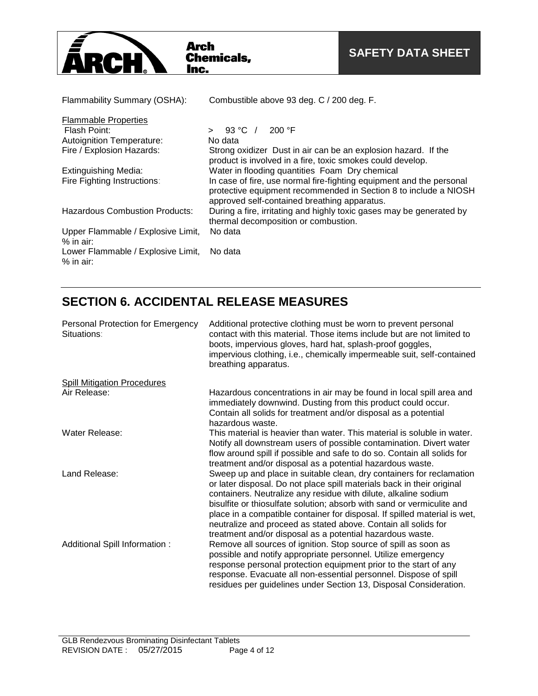

| Flammability Summary (OSHA):                      | Combustible above 93 deg. C / 200 deg. F.                                                                                                                                                |
|---------------------------------------------------|------------------------------------------------------------------------------------------------------------------------------------------------------------------------------------------|
| <b>Flammable Properties</b>                       |                                                                                                                                                                                          |
| Flash Point:                                      | 93 °C $\sqrt{ }$<br>200 °F                                                                                                                                                               |
| <b>Autoignition Temperature:</b>                  | No data                                                                                                                                                                                  |
| Fire / Explosion Hazards:                         | Strong oxidizer Dust in air can be an explosion hazard. If the<br>product is involved in a fire, toxic smokes could develop.                                                             |
| <b>Extinguishing Media:</b>                       | Water in flooding quantities Foam Dry chemical                                                                                                                                           |
| Fire Fighting Instructions:                       | In case of fire, use normal fire-fighting equipment and the personal<br>protective equipment recommended in Section 8 to include a NIOSH<br>approved self-contained breathing apparatus. |
| <b>Hazardous Combustion Products:</b>             | During a fire, irritating and highly toxic gases may be generated by<br>thermal decomposition or combustion.                                                                             |
| Upper Flammable / Explosive Limit,<br>$%$ in air: | No data                                                                                                                                                                                  |
| Lower Flammable / Explosive Limit,<br>$%$ in air: | No data                                                                                                                                                                                  |

## **SECTION 6. ACCIDENTAL RELEASE MEASURES**

| Personal Protection for Emergency<br>Situations: | Additional protective clothing must be worn to prevent personal<br>contact with this material. Those items include but are not limited to<br>boots, impervious gloves, hard hat, splash-proof goggles,<br>impervious clothing, i.e., chemically impermeable suit, self-contained<br>breathing apparatus.                                                                                                                                                                                                |
|--------------------------------------------------|---------------------------------------------------------------------------------------------------------------------------------------------------------------------------------------------------------------------------------------------------------------------------------------------------------------------------------------------------------------------------------------------------------------------------------------------------------------------------------------------------------|
| <b>Spill Mitigation Procedures</b>               |                                                                                                                                                                                                                                                                                                                                                                                                                                                                                                         |
| Air Release:                                     | Hazardous concentrations in air may be found in local spill area and<br>immediately downwind. Dusting from this product could occur.<br>Contain all solids for treatment and/or disposal as a potential<br>hazardous waste.                                                                                                                                                                                                                                                                             |
| Water Release:                                   | This material is heavier than water. This material is soluble in water.<br>Notify all downstream users of possible contamination. Divert water<br>flow around spill if possible and safe to do so. Contain all solids for<br>treatment and/or disposal as a potential hazardous waste.                                                                                                                                                                                                                  |
| Land Release:                                    | Sweep up and place in suitable clean, dry containers for reclamation<br>or later disposal. Do not place spill materials back in their original<br>containers. Neutralize any residue with dilute, alkaline sodium<br>bisulfite or thiosulfate solution; absorb with sand or vermiculite and<br>place in a compatible container for disposal. If spilled material is wet,<br>neutralize and proceed as stated above. Contain all solids for<br>treatment and/or disposal as a potential hazardous waste. |
| Additional Spill Information :                   | Remove all sources of ignition. Stop source of spill as soon as<br>possible and notify appropriate personnel. Utilize emergency<br>response personal protection equipment prior to the start of any<br>response. Evacuate all non-essential personnel. Dispose of spill<br>residues per guidelines under Section 13, Disposal Consideration.                                                                                                                                                            |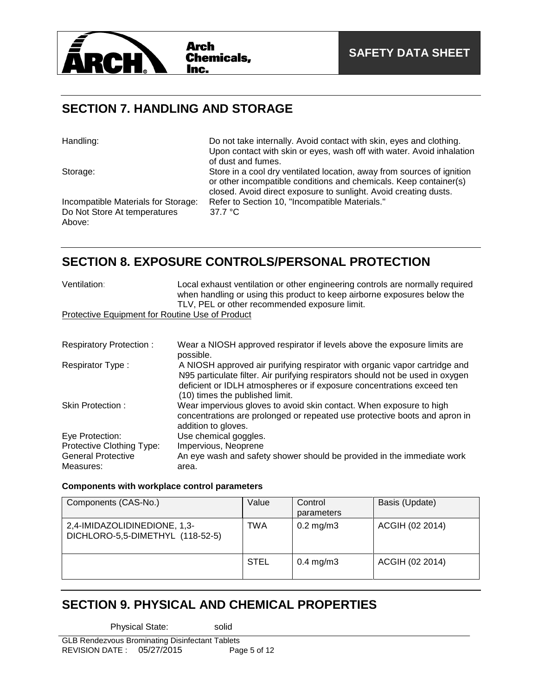

### **SECTION 7. HANDLING AND STORAGE**

| Handling:                                                                     | Do not take internally. Avoid contact with skin, eyes and clothing.<br>Upon contact with skin or eyes, wash off with water. Avoid inhalation                      |
|-------------------------------------------------------------------------------|-------------------------------------------------------------------------------------------------------------------------------------------------------------------|
| Storage:                                                                      | of dust and fumes.<br>Store in a cool dry ventilated location, away from sources of ignition<br>or other incompatible conditions and chemicals. Keep container(s) |
| Incompatible Materials for Storage:<br>Do Not Store At temperatures<br>Above: | closed. Avoid direct exposure to sunlight. Avoid creating dusts.<br>Refer to Section 10, "Incompatible Materials."<br>$37.7 \text{ °C}$                           |

### **SECTION 8. EXPOSURE CONTROLS/PERSONAL PROTECTION**

| Ventilation:                                    | Local exhaust ventilation or other engineering controls are normally required<br>when handling or using this product to keep airborne exposures below the<br>TLV, PEL or other recommended exposure limit.                                                                |  |
|-------------------------------------------------|---------------------------------------------------------------------------------------------------------------------------------------------------------------------------------------------------------------------------------------------------------------------------|--|
| Protective Equipment for Routine Use of Product |                                                                                                                                                                                                                                                                           |  |
|                                                 |                                                                                                                                                                                                                                                                           |  |
| <b>Respiratory Protection:</b>                  | Wear a NIOSH approved respirator if levels above the exposure limits are<br>possible.                                                                                                                                                                                     |  |
| Respirator Type:                                | A NIOSH approved air purifying respirator with organic vapor cartridge and<br>N95 particulate filter. Air purifying respirators should not be used in oxygen<br>deficient or IDLH atmospheres or if exposure concentrations exceed ten<br>(10) times the published limit. |  |
| Skin Protection:                                | Wear impervious gloves to avoid skin contact. When exposure to high                                                                                                                                                                                                       |  |

|                                  | concentrations are prolonged or repeated use protective boots and apron in<br>addition to gloves. |
|----------------------------------|---------------------------------------------------------------------------------------------------|
| Eye Protection:                  | Use chemical goggles.                                                                             |
| <b>Protective Clothing Type:</b> | Impervious, Neoprene                                                                              |
| <b>General Protective</b>        | An eye wash and safety shower should be provided in the immediate work                            |
| Measures:                        | area.                                                                                             |

#### **Components with workplace control parameters**

| Components (CAS-No.)                                             | Value       | Control<br>parameters | Basis (Update)  |
|------------------------------------------------------------------|-------------|-----------------------|-----------------|
| 2,4-IMIDAZOLIDINEDIONE, 1,3-<br>DICHLORO-5,5-DIMETHYL (118-52-5) | TWA         | $0.2 \text{ mg/m}$ 3  | ACGIH (02 2014) |
|                                                                  | <b>STEL</b> | $0.4 \text{ mg/m}$ 3  | ACGIH (02 2014) |

### **SECTION 9. PHYSICAL AND CHEMICAL PROPERTIES**

Physical State: solid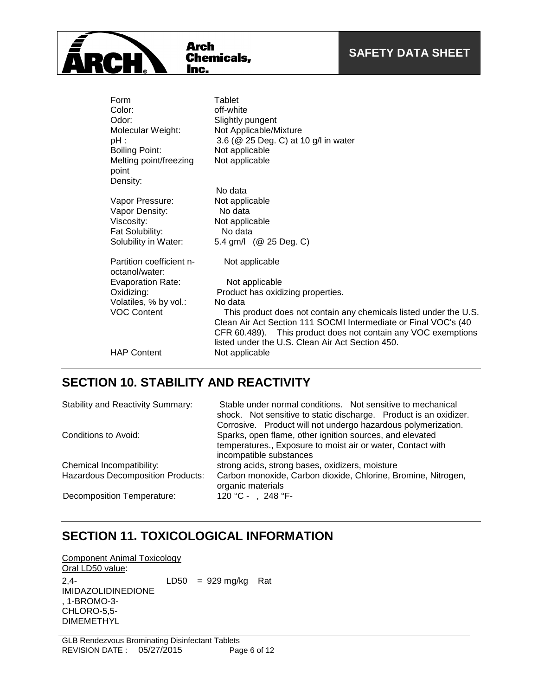| Form                                       | Tablet                                                            |
|--------------------------------------------|-------------------------------------------------------------------|
| Color:                                     | off-white                                                         |
| Odor:                                      | Slightly pungent                                                  |
| Molecular Weight:                          | Not Applicable/Mixture                                            |
| $pH$ :                                     | 3.6 (@ 25 Deg. C) at 10 g/l in water                              |
| <b>Boiling Point:</b>                      | Not applicable                                                    |
| Melting point/freezing                     | Not applicable                                                    |
| point                                      |                                                                   |
| Density:                                   |                                                                   |
|                                            | No data                                                           |
| Vapor Pressure:                            | Not applicable                                                    |
| Vapor Density:                             | No data                                                           |
| Viscosity:                                 | Not applicable                                                    |
| Fat Solubility:                            | No data                                                           |
| Solubility in Water:                       | 5.4 gm/l (@ 25 Deg. C)                                            |
| Partition coefficient n-<br>octanol/water: | Not applicable                                                    |
| Evaporation Rate:                          | Not applicable                                                    |
| Oxidizing:                                 | Product has oxidizing properties.                                 |
| Volatiles, % by vol.:                      | No data                                                           |
| <b>VOC Content</b>                         | This product does not contain any chemicals listed under the U.S. |
|                                            | Clean Air Act Section 111 SOCMI Intermediate or Final VOC's (40   |
|                                            | CFR 60.489). This product does not contain any VOC exemptions     |
|                                            | listed under the U.S. Clean Air Act Section 450.                  |
| <b>HAP Content</b>                         | Not applicable                                                    |
|                                            |                                                                   |

# **SECTION 10. STABILITY AND REACTIVITY**

**Arch** 

**TRCI** 

Aren<br>Chemicals,<br><u>Inc.</u>

| <b>Stability and Reactivity Summary:</b> | Stable under normal conditions. Not sensitive to mechanical<br>shock. Not sensitive to static discharge. Product is an oxidizer.<br>Corrosive. Product will not undergo hazardous polymerization. |  |  |  |
|------------------------------------------|---------------------------------------------------------------------------------------------------------------------------------------------------------------------------------------------------|--|--|--|
| Conditions to Avoid:                     | Sparks, open flame, other ignition sources, and elevated<br>temperatures., Exposure to moist air or water, Contact with<br>incompatible substances                                                |  |  |  |
| Chemical Incompatibility:                | strong acids, strong bases, oxidizers, moisture                                                                                                                                                   |  |  |  |
| <b>Hazardous Decomposition Products:</b> | Carbon monoxide, Carbon dioxide, Chlorine, Bromine, Nitrogen,<br>organic materials                                                                                                                |  |  |  |
| Decomposition Temperature:               | 120 °C - , 248 °F-                                                                                                                                                                                |  |  |  |

### **SECTION 11. TOXICOLOGICAL INFORMATION**

Component Animal Toxicology Oral LD50 value: 2,4- IMIDAZOLIDINEDIONE , 1-BROMO-3- CHLORO-5,5- DIMEMETHYL LD50 =  $929 \text{ mg/kg}$  Rat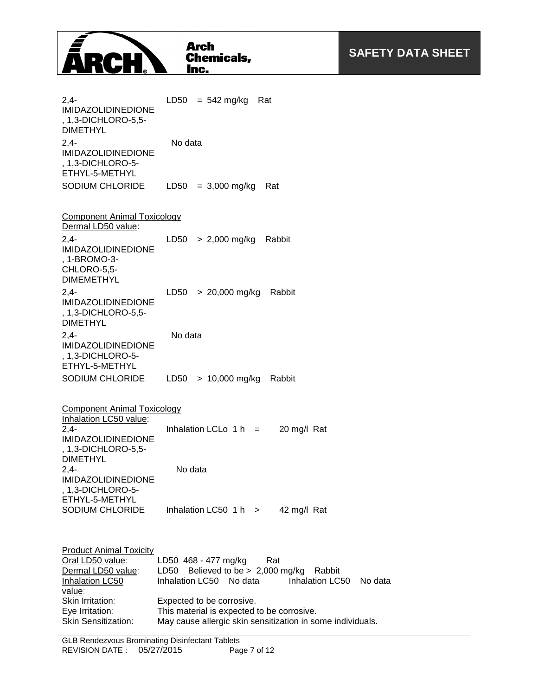

2,4- IMIDAZOLIDINEDIONE , 1,3-DICHLORO-5,5- DIMETHYL LD50 =  $542 \text{ mg/kg}$  Rat 2,4- IMIDAZOLIDINEDIONE , 1,3-DICHLORO-5- ETHYL-5-METHYL No data SODIUM CHLORIDE LD50 = 3,000 mg/kg Rat Component Animal Toxicology Dermal LD50 value: 2,4- IMIDAZOLIDINEDIONE , 1-BROMO-3- CHLORO-5,5- DIMEMETHYL LD50 > 2,000 mg/kg Rabbit  $24-$ IMIDAZOLIDINEDIONE , 1,3-DICHLORO-5,5- DIMETHYL LD50 > 20,000 mg/kg Rabbit 2,4- IMIDAZOLIDINEDIONE , 1,3-DICHLORO-5- ETHYL-5-METHYL No data SODIUM CHLORIDE LD50 > 10,000 mg/kg Rabbit Component Animal Toxicology Inhalation LC50 value: 2,4- IMIDAZOLIDINEDIONE , 1,3-DICHLORO-5,5- DIMETHYL Inhalation LCLo  $1 h = 20$  mg/l Rat 2,4- IMIDAZOLIDINEDIONE , 1,3-DICHLORO-5- ETHYL-5-METHYL No data SODIUM CHLORIDE Inhalation LC50 1 h > 42 mg/l Rat **Product Animal Toxicity** Oral LD50 value: LD50 468 - 477 mg/kg Rat Dermal LD50 value: LD50 Believed to be > 2,000 mg/kg Rabbit Inhalation LC50 value: Inhalation LC50 No data Inhalation LC50 No data Skin Irritation: Expected to be corrosive. Eye Irritation: This material is expected to be corrosive. Skin Sensitization: May cause allergic skin sensitization in some individuals.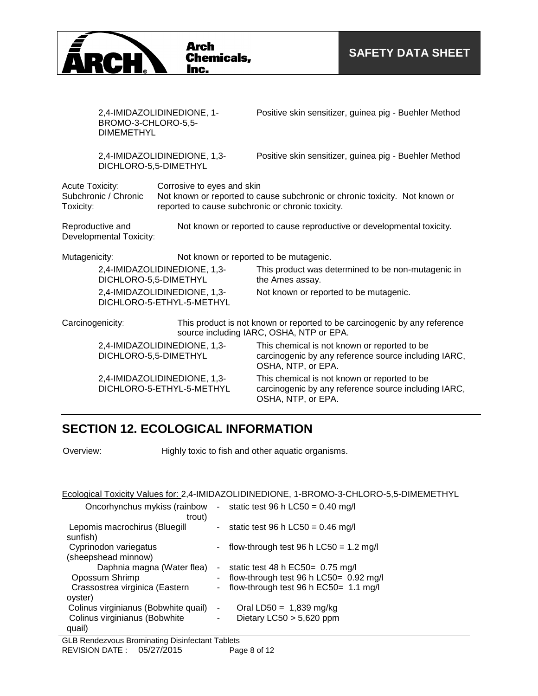

|                                                                                                                       | BROMO-3-CHLORO-5,5-<br><b>DIMEMETHYL</b> | 2,4-IMIDAZOLIDINEDIONE, 1-                                                      | Positive skin sensitizer, guinea pig - Buehler Method                                                                      |  |
|-----------------------------------------------------------------------------------------------------------------------|------------------------------------------|---------------------------------------------------------------------------------|----------------------------------------------------------------------------------------------------------------------------|--|
|                                                                                                                       | DICHLORO-5,5-DIMETHYL                    | 2,4-IMIDAZOLIDINEDIONE, 1,3-                                                    | Positive skin sensitizer, guinea pig - Buehler Method                                                                      |  |
| Acute Toxicity:<br>Subchronic / Chronic<br>Toxicity:                                                                  |                                          | Corrosive to eyes and skin<br>reported to cause subchronic or chronic toxicity. | Not known or reported to cause subchronic or chronic toxicity. Not known or                                                |  |
| Reproductive and<br>Not known or reported to cause reproductive or developmental toxicity.<br>Developmental Toxicity: |                                          |                                                                                 |                                                                                                                            |  |
| Mutagenicity:                                                                                                         |                                          | Not known or reported to be mutagenic.                                          |                                                                                                                            |  |
|                                                                                                                       | DICHLORO-5,5-DIMETHYL                    | 2,4-IMIDAZOLIDINEDIONE, 1,3-                                                    | This product was determined to be non-mutagenic in<br>the Ames assay.                                                      |  |
|                                                                                                                       |                                          | 2,4-IMIDAZOLIDINEDIONE, 1,3-<br>DICHLORO-5-ETHYL-5-METHYL                       | Not known or reported to be mutagenic.                                                                                     |  |
| Carcinogenicity:                                                                                                      |                                          |                                                                                 | This product is not known or reported to be carcinogenic by any reference<br>source including IARC, OSHA, NTP or EPA.      |  |
| 2,4-IMIDAZOLIDINEDIONE, 1,3-<br>DICHLORO-5,5-DIMETHYL                                                                 |                                          |                                                                                 | This chemical is not known or reported to be<br>carcinogenic by any reference source including IARC,<br>OSHA, NTP, or EPA. |  |
|                                                                                                                       |                                          | 2,4-IMIDAZOLIDINEDIONE, 1,3-<br>DICHLORO-5-ETHYL-5-METHYL                       | This chemical is not known or reported to be<br>carcinogenic by any reference source including IARC,<br>OSHA, NTP, or EPA. |  |

### **SECTION 12. ECOLOGICAL INFORMATION**

Overview: Highly toxic to fish and other aquatic organisms.

#### Ecological Toxicity Values for: 2,4-IMIDAZOLIDINEDIONE, 1-BROMO-3-CHLORO-5,5-DIMEMETHYL

| Oncorhynchus mykiss (rainbow<br>trout)       | $\sim$ | static test 96 h LC50 = $0.40$ mg/l      |
|----------------------------------------------|--------|------------------------------------------|
| Lepomis macrochirus (Bluegill<br>sunfish)    | $\sim$ | static test 96 h LC50 = $0.46$ mg/l      |
| Cyprinodon variegatus<br>(sheepshead minnow) |        | flow-through test 96 h $LC50 = 1.2$ mg/l |
| Daphnia magna (Water flea)                   |        | static test 48 h $EC50 = 0.75$ mg/l      |
| Opossum Shrimp                               |        | flow-through test 96 h LC50= 0.92 mg/l   |
| Crassostrea virginica (Eastern               |        | - flow-through test 96 h EC50= 1.1 mg/l  |
| oyster)                                      |        |                                          |
| Colinus virginianus (Bobwhite quail)         | ۰      | Oral LD50 = $1,839$ mg/kg                |
| Colinus virginianus (Bobwhite                | ۰      | Dietary $LC50 > 5,620$ ppm               |
| quail)                                       |        |                                          |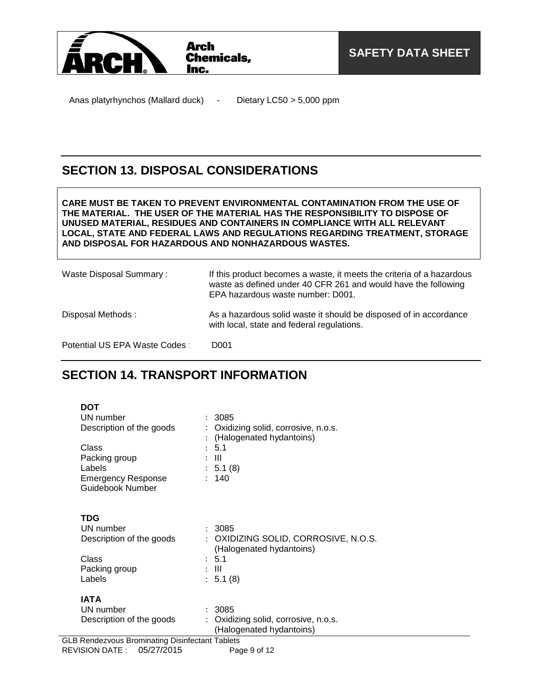

Anas platyrhynchos (Mallard duck) - Dietary LC50 > 5,000 ppm

### **SECTION 13. DISPOSAL CONSIDERATIONS**

**CARE MUST BE TAKEN TO PREVENT ENVIRONMENTAL CONTAMINATION FROM THE USE OF THE MATERIAL. THE USER OF THE MATERIAL HAS THE RESPONSIBILITY TO DISPOSE OF UNUSED MATERIAL, RESIDUES AND CONTAINERS IN COMPLIANCE WITH ALL RELEVANT LOCAL, STATE AND FEDERAL LAWS AND REGULATIONS REGARDING TREATMENT, STORAGE AND DISPOSAL FOR HAZARDOUS AND NONHAZARDOUS WASTES.** 

| Waste Disposal Summary:        | If this product becomes a waste, it meets the criteria of a hazardous<br>waste as defined under 40 CFR 261 and would have the following<br>EPA hazardous waste number: D001. |  |  |
|--------------------------------|------------------------------------------------------------------------------------------------------------------------------------------------------------------------------|--|--|
| Disposal Methods:              | As a hazardous solid waste it should be disposed of in accordance<br>with local, state and federal regulations.                                                              |  |  |
| Potential US EPA Waste Codes : | D001                                                                                                                                                                         |  |  |

### **SECTION 14. TRANSPORT INFORMATION**

| DOT                       |                                      |
|---------------------------|--------------------------------------|
| UN number                 | : 3085                               |
| Description of the goods  | Oxidizing solid, corrosive, n.o.s.   |
|                           | (Halogenated hydantoins)             |
| Class                     | : 5.1                                |
| Packing group             | - III                                |
| Labels                    | : 5.1(8)                             |
| <b>Emergency Response</b> | 140                                  |
| Guidebook Number          |                                      |
|                           |                                      |
| TDG                       |                                      |
| UN number                 | : 3085                               |
| Description of the goods  | : OXIDIZING SOLID, CORROSIVE, N.O.S. |
|                           | (Halogenated hydantoins)             |
| Class                     | : 5.1                                |
| Packing group             | Ш                                    |
| Labels                    | : 5.1(8)                             |
|                           |                                      |
| <b>IATA</b>               |                                      |
| UN number                 | 3085                                 |
| Description of the goods  | Oxidizing solid, corrosive, n.o.s.   |
|                           | (Halogenated hydantoins)             |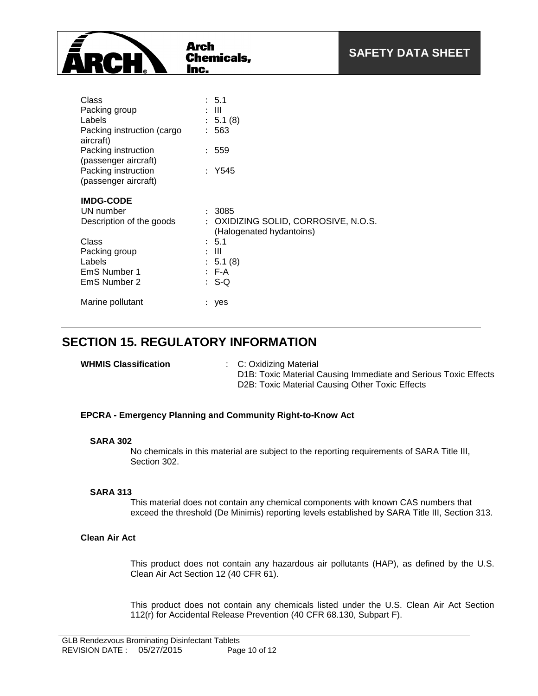

| Class<br>Packing group<br>Labels<br>Packing instruction (cargo<br>aircraft)<br>Packing instruction<br>(passenger aircraft)<br>Packing instruction<br>(passenger aircraft) | ÷ | : 5.1<br>- 111<br>5.1(8)<br>563<br>: 559<br>Y545               |
|---------------------------------------------------------------------------------------------------------------------------------------------------------------------------|---|----------------------------------------------------------------|
| <b>IMDG-CODE</b>                                                                                                                                                          |   |                                                                |
| UN number                                                                                                                                                                 |   | - 3085                                                         |
| Description of the goods                                                                                                                                                  |   | OXIDIZING SOLID, CORROSIVE, N.O.S.<br>(Halogenated hydantoins) |
| Class                                                                                                                                                                     |   | : 5.1                                                          |
| Packing group                                                                                                                                                             |   | Ш                                                              |
| Labels                                                                                                                                                                    |   | : 5.1(8)                                                       |
| EmS Number 1                                                                                                                                                              |   | $:$ F-A                                                        |
| EmS Number 2                                                                                                                                                              |   | : S-Q                                                          |
| Marine pollutant                                                                                                                                                          |   | yes                                                            |

### **SECTION 15. REGULATORY INFORMATION**

|  | <b>WHMIS Classification</b> |
|--|-----------------------------|
|--|-----------------------------|

**WHMIS Classification** : C: Oxidizing Material D1B: Toxic Material Causing Immediate and Serious Toxic Effects D2B: Toxic Material Causing Other Toxic Effects

#### **EPCRA - Emergency Planning and Community Right-to-Know Act**

#### **SARA 302**

No chemicals in this material are subject to the reporting requirements of SARA Title III, Section 302.

#### **SARA 313**

This material does not contain any chemical components with known CAS numbers that exceed the threshold (De Minimis) reporting levels established by SARA Title III, Section 313.

#### **Clean Air Act**

This product does not contain any hazardous air pollutants (HAP), as defined by the U.S. Clean Air Act Section 12 (40 CFR 61).

This product does not contain any chemicals listed under the U.S. Clean Air Act Section 112(r) for Accidental Release Prevention (40 CFR 68.130, Subpart F).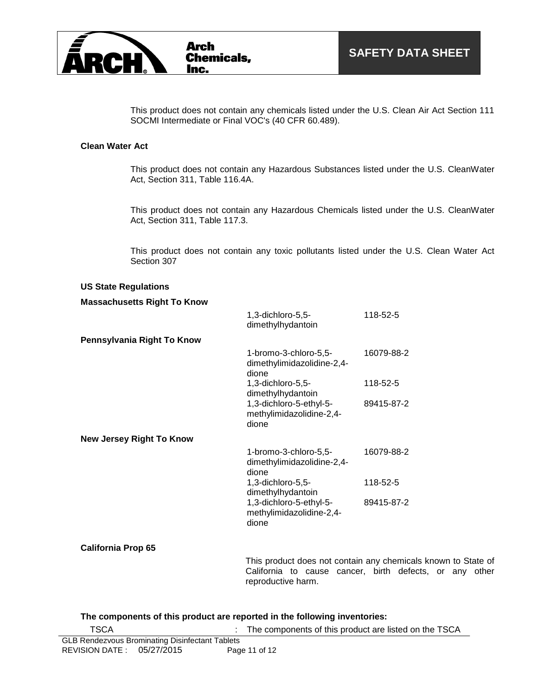

This product does not contain any chemicals listed under the U.S. Clean Air Act Section 111 SOCMI Intermediate or Final VOC's (40 CFR 60.489).

#### **Clean Water Act**

This product does not contain any Hazardous Substances listed under the U.S. CleanWater Act, Section 311, Table 116.4A.

This product does not contain any Hazardous Chemicals listed under the U.S. CleanWater Act, Section 311, Table 117.3.

This product does not contain any toxic pollutants listed under the U.S. Clean Water Act Section 307

#### **US State Regulations**

#### **Massachusetts Right To Know**

|                                 | 1,3-dichloro-5,5-<br>dimethylhydantoin                       | 118-52-5   |
|---------------------------------|--------------------------------------------------------------|------------|
| Pennsylvania Right To Know      |                                                              |            |
|                                 | 1-bromo-3-chloro-5,5-<br>dimethylimidazolidine-2,4-<br>dione | 16079-88-2 |
|                                 | 1,3-dichloro-5,5-<br>dimethylhydantoin                       | 118-52-5   |
|                                 | 1,3-dichloro-5-ethyl-5-<br>methylimidazolidine-2,4-<br>dione | 89415-87-2 |
| <b>New Jersey Right To Know</b> |                                                              |            |
|                                 | 1-bromo-3-chloro-5,5-<br>dimethylimidazolidine-2,4-<br>dione | 16079-88-2 |
|                                 | 1,3-dichloro-5,5-<br>dimethylhydantoin                       | 118-52-5   |
|                                 | 1,3-dichloro-5-ethyl-5-<br>methylimidazolidine-2,4-<br>dione | 89415-87-2 |

#### **California Prop 65**

This product does not contain any chemicals known to State of California to cause cancer, birth defects, or any other reproductive harm.

#### **The components of this product are reported in the following inventories:**